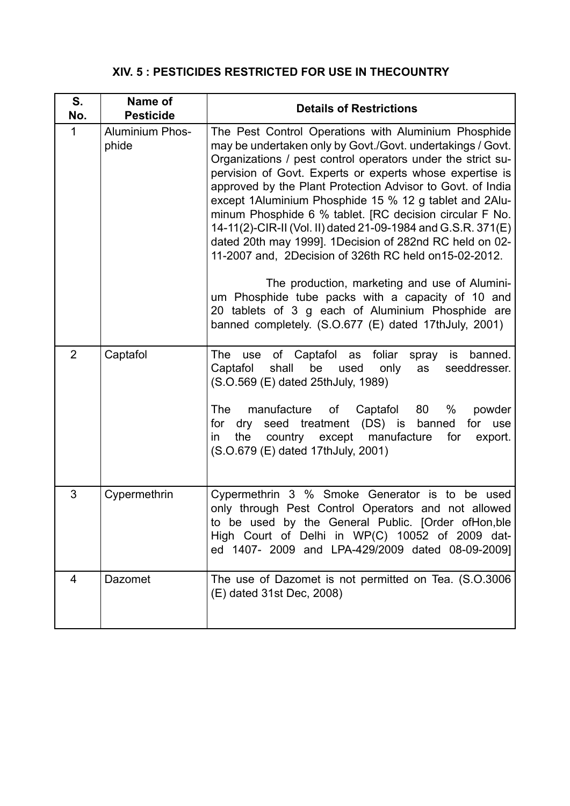## **XIV. 5 : PESTICIDES RESTRICTED FOR USE IN THECOUNTRY**

| S.<br>No.      | Name of<br><b>Pesticide</b>     | <b>Details of Restrictions</b>                                                                                                                                                                                                                                                                                                                                                                                                                                                                                                                                                                                                                                                                                                                                                                                                            |
|----------------|---------------------------------|-------------------------------------------------------------------------------------------------------------------------------------------------------------------------------------------------------------------------------------------------------------------------------------------------------------------------------------------------------------------------------------------------------------------------------------------------------------------------------------------------------------------------------------------------------------------------------------------------------------------------------------------------------------------------------------------------------------------------------------------------------------------------------------------------------------------------------------------|
| $\mathbf{1}$   | <b>Aluminium Phos-</b><br>phide | The Pest Control Operations with Aluminium Phosphide<br>may be undertaken only by Govt./Govt. undertakings / Govt.<br>Organizations / pest control operators under the strict su-<br>pervision of Govt. Experts or experts whose expertise is<br>approved by the Plant Protection Advisor to Govt. of India<br>except 1Aluminium Phosphide 15 % 12 g tablet and 2Alu-<br>minum Phosphide 6 % tablet. [RC decision circular F No.<br>14-11(2)-CIR-II (Vol. II) dated 21-09-1984 and G.S.R. 371(E)<br>dated 20th may 1999]. 1Decision of 282nd RC held on 02-<br>11-2007 and, 2Decision of 326th RC held on 15-02-2012.<br>The production, marketing and use of Alumini-<br>um Phosphide tube packs with a capacity of 10 and<br>20 tablets of 3 g each of Aluminium Phosphide are<br>banned completely. (S.O.677 (E) dated 17thJuly, 2001) |
| $\overline{2}$ | Captafol                        | use of Captafol as foliar<br>is banned.<br>The<br>spray<br>shall<br>be<br>Captafol<br>used<br>seeddresser.<br>only<br>as<br>(S.O.569 (E) dated 25thJuly, 1989)<br>manufacture<br>The<br>of Captafol<br>- 80<br>%<br>powder<br>dry seed treatment (DS) is banned<br>for use<br>for<br>the<br>country except manufacture<br>for<br>export.<br>in.<br>(S.O.679 (E) dated 17thJuly, 2001)                                                                                                                                                                                                                                                                                                                                                                                                                                                     |
| 3              | Cypermethrin                    | Cypermethrin 3 % Smoke Generator is to be used<br>only through Pest Control Operators and not allowed<br>to be used by the General Public. [Order ofHon,ble<br>High Court of Delhi in WP(C) 10052 of 2009 dat-<br>ed 1407- 2009 and LPA-429/2009 dated 08-09-2009]                                                                                                                                                                                                                                                                                                                                                                                                                                                                                                                                                                        |
| 4              | <b>Dazomet</b>                  | The use of Dazomet is not permitted on Tea. (S.O.3006<br>(E) dated 31st Dec, 2008)                                                                                                                                                                                                                                                                                                                                                                                                                                                                                                                                                                                                                                                                                                                                                        |